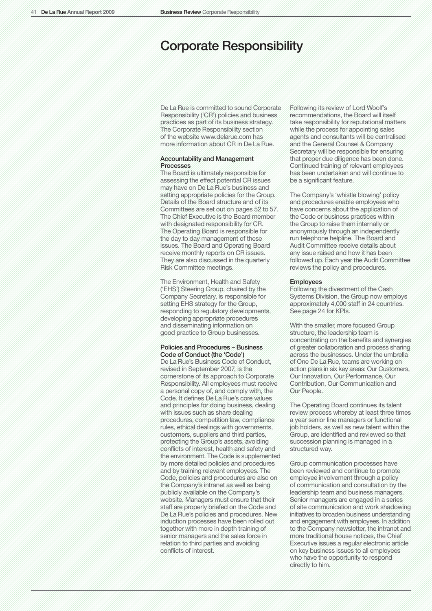# Corporate Responsibility

De La Rue is committed to sound Corporate Responsibility ('CR') policies and business practices as part of its business strategy. The Corporate Responsibility section of the website www.delarue.com has more information about CR in De La Rue.

# Accountability and Management Processes

The Board is ultimately responsible for assessing the effect potential CR issues may have on De La Rue's business and setting appropriate policies for the Group. Details of the Board structure and of its Committees are set out on pages 52 to 57. The Chief Executive is the Board member with designated responsibility for CR. The Operating Board is responsible for the day to day management of these issues. The Board and Operating Board receive monthly reports on CR issues. They are also discussed in the quarterly Risk Committee meetings.

The Environment, Health and Safety ('EHS') Steering Group, chaired by the Company Secretary, is responsible for setting EHS strategy for the Group, responding to regulatory developments, developing appropriate procedures and disseminating information on good practice to Group businesses.

#### Policies and Procedures – Business Code of Conduct (the 'Code')

De La Rue's Business Code of Conduct, revised in September 2007, is the cornerstone of its approach to Corporate Responsibility. All employees must receive a personal copy of, and comply with, the Code. It defines De La Rue's core values and principles for doing business, dealing with issues such as share dealing procedures, competition law, compliance rules, ethical dealings with governments, customers, suppliers and third parties, protecting the Group's assets, avoiding conflicts of interest, health and safety and the environment. The Code is supplemented by more detailed policies and procedures and by training relevant employees. The Code, policies and procedures are also on the Company's intranet as well as being publicly available on the Company's website. Managers must ensure that their staff are properly briefed on the Code and De La Rue's policies and procedures. New induction processes have been rolled out together with more in depth training of senior managers and the sales force in relation to third parties and avoiding conflicts of interest.

Following its review of Lord Woolf's recommendations, the Board will itself take responsibility for reputational matters while the process for appointing sales agents and consultants will be centralised and the General Counsel & Company Secretary will be responsible for ensuring that proper due diligence has been done. Continued training of relevant employees has been undertaken and will continue to be a significant feature.

The Company's 'whistle blowing' policy and procedures enable employees who have concerns about the application of the Code or business practices within the Group to raise them internally or anonymously through an independently run telephone helpline. The Board and Audit Committee receive details about any issue raised and how it has been followed up. Each year the Audit Committee reviews the policy and procedures.

#### Employees

Following the divestment of the Cash Systems Division, the Group now employs approximately 4,000 staff in 24 countries. See page 24 for KPIs.

With the smaller, more focused Group structure, the leadership team is concentrating on the benefits and synergies of greater collaboration and process sharing across the businesses. Under the umbrella of One De La Rue, teams are working on action plans in six key areas: Our Customers, Our Innovation, Our Performance, Our Contribution, Our Communication and Our People.

The Operating Board continues its talent review process whereby at least three times a year senior line managers or functional job holders, as well as new talent within the Group, are identified and reviewed so that succession planning is managed in a structured way.

Group communication processes have been reviewed and continue to promote employee involvement through a policy of communication and consultation by the leadership team and business managers. Senior managers are engaged in a series of site communication and work shadowing initiatives to broaden business understanding and engagement with employees. In addition to the Company newsletter, the intranet and more traditional house notices, the Chief Executive issues a regular electronic article on key business issues to all employees who have the opportunity to respond directly to him.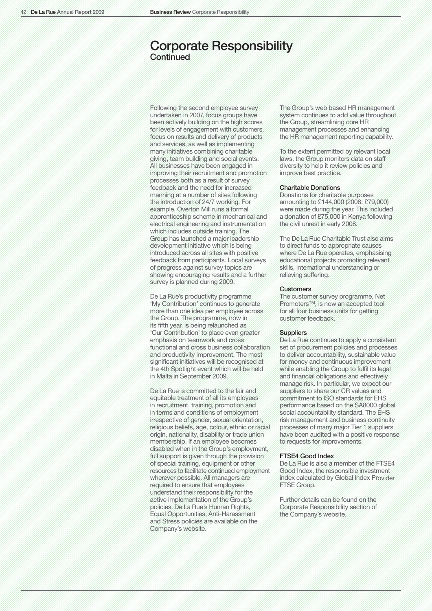# Corporate Responsibility **Continued**

Following the second employee survey undertaken in 2007, focus groups have been actively building on the high scores for levels of engagement with customers, focus on results and delivery of products and services, as well as implementing many initiatives combining charitable giving, team building and social events. All businesses have been engaged in improving their recruitment and promotion processes both as a result of survey feedback and the need for increased manning at a number of sites following the introduction of 24/7 working. For example, Overton Mill runs a formal apprenticeship scheme in mechanical and electrical engineering and instrumentation which includes outside training. The Group has launched a major leadership development initiative which is being introduced across all sites with positive feedback from participants. Local surveys of progress against survey topics are showing encouraging results and a further survey is planned during 2009.

De La Rue's productivity programme 'My Contribution' continues to generate more than one idea per employee across the Group. The programme, now in its fifth year, is being relaunched as 'Our Contribution' to place even greater emphasis on teamwork and cross functional and cross business collaboration and productivity improvement. The most significant initiatives will be recognised at the 4th Spotlight event which will be held in Malta in September 2009.

De La Rue is committed to the fair and equitable treatment of all its employees in recruitment, training, promotion and in terms and conditions of employment irrespective of gender, sexual orientation, religious beliefs, age, colour, ethnic or racial origin, nationality, disability or trade union membership. If an employee becomes disabled when in the Group's employment, full support is given through the provision of special training, equipment or other resources to facilitate continued employment wherever possible. All managers are required to ensure that employees understand their responsibility for the active implementation of the Group's policies. De La Rue's Human Rights, Equal Opportunities, Anti-Harassment and Stress policies are available on the Company's website.

The Group's web based HR management system continues to add value throughout the Group, streamlining core HR management processes and enhancing the HR management reporting capability.

To the extent permitted by relevant local laws, the Group monitors data on staff diversity to help it review policies and improve best practice.

# Charitable Donations

Donations for charitable purposes amounting to £144,000 (2008: £79,000) were made during the year. This included a donation of £75,000 in Kenya following the civil unrest in early 2008.

The De La Rue Charitable Trust also aims to direct funds to appropriate causes where De La Rue operates, emphasising educational projects promoting relevant skills, international understanding or relieving suffering.

# **Customers**

The customer survey programme, Net Promoters™, is now an accepted tool for all four business units for getting customer feedback.

#### **Suppliers**

De La Rue continues to apply a consistent set of procurement policies and processes to deliver accountability, sustainable value for money and continuous improvement while enabling the Group to fulfil its legal and financial obligations and effectively manage risk. In particular, we expect our suppliers to share our CR values and commitment to ISO standards for EHS performance based on the SA8000 global social accountability standard. The EHS risk management and business continuity processes of many major Tier 1 suppliers have been audited with a positive response to requests for improvements.

# FTSE4 Good Index

De La Rue is also a member of the FTSE4 Good Index, the responsible investment index calculated by Global Index Provider FTSE Group.

Further details can be found on the Corporate Responsibility section of the Company's website.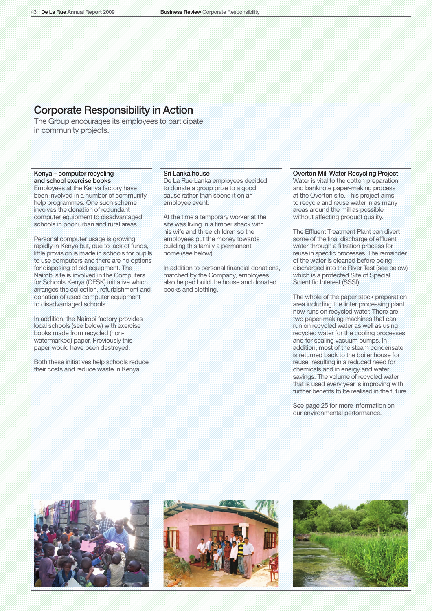# Corporate Responsibility in Action

The Group encourages its employees to participate in community projects.

# Kenya – computer recycling and school exercise books

Employees at the Kenya factory have been involved in a number of community help programmes. One such scheme involves the donation of redundant computer equipment to disadvantaged schools in poor urban and rural areas.

Personal computer usage is growing rapidly in Kenya but, due to lack of funds, little provision is made in schools for pupils to use computers and there are no options for disposing of old equipment. The Nairobi site is involved in the Computers for Schools Kenya (CFSK) initiative which arranges the collection, refurbishment and donation of used computer equipment to disadvantaged schools.

In addition, the Nairobi factory provides local schools (see below) with exercise books made from recycled (nonwatermarked) paper. Previously this paper would have been destroyed.

Both these initiatives help schools reduce their costs and reduce waste in Kenya.

# Sri Lanka house

De La Rue Lanka employees decided to donate a group prize to a good cause rather than spend it on an employee event.

At the time a temporary worker at the site was living in a timber shack with his wife and three children so the employees put the money towards building this family a permanent home (see below).

In addition to personal financial donations, matched by the Company, employees also helped build the house and donated books and clothing.

# Overton Mill Water Recycling Project

Water is vital to the cotton preparation and banknote paper-making process at the Overton site. This project aims to recycle and reuse water in as many areas around the mill as possible without affecting product quality.

The Effluent Treatment Plant can divert some of the final discharge of effluent water through a filtration process for reuse in specific processes. The remainder of the water is cleaned before being discharged into the River Test (see below) which is a protected Site of Special Scientific Interest (SSSI).

The whole of the paper stock preparation area including the linter processing plant now runs on recycled water. There are two paper-making machines that can run on recycled water as well as using recycled water for the cooling processes and for sealing vacuum pumps. In addition, most of the steam condensate is returned back to the boiler house for reuse, resulting in a reduced need for chemicals and in energy and water savings. The volume of recycled water that is used every year is improving with further benefits to be realised in the future.

See page 25 for more information on our environmental performance.





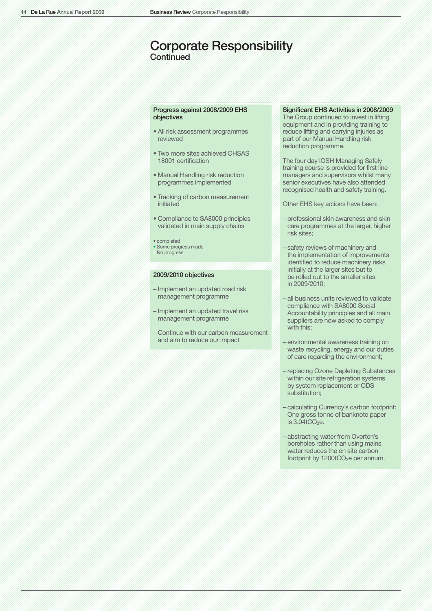# Corporate Responsibility **Continued**

# Progress against 2008/2009 EHS objectives

- All risk assessment programmes reviewed
- Two more sites achieved OHSAS 18001 certification
- Manual Handling risk reduction programmes implemented
- Tracking of carbon measurement initiated
- Compliance to SA8000 principles validated in main supply chains
- completed
- Some progress made
- No progress

### 2009/2010 objectives

- Implement an updated road risk management programme
- Implement an updated travel risk management programme
- Continue with our carbon measurement and aim to reduce our impact

# Significant EHS Activities in 2008/2009

The Group continued to invest in lifting equipment and in providing training to reduce lifting and carrying injuries as part of our Manual Handling risk reduction programme.

The four day IOSH Managing Safely training course is provided for first line managers and supervisors whilst many senior executives have also attended recognised health and safety training.

Other EHS key actions have been:

- professional skin awareness and skin care programmes at the larger, higher risk sites;
- safety reviews of machinery and the implementation of improvements identified to reduce machinery risks initially at the larger sites but to be rolled out to the smaller sites in 2009/2010;
- all business units reviewed to validate compliance with SA8000 Social Accountability principles and all main suppliers are now asked to comply with this;
- environmental awareness training on waste recycling, energy and our duties of care regarding the environment;
- replacing Ozone Depleting Substances within our site refrigeration systems by system replacement or ODS substitution;
- calculating Currency's carbon footprint: One gross tonne of banknote paper is  $3.04$ tCO<sub>2</sub>e.
- abstracting water from Overton's boreholes rather than using mains water reduces the on site carbon footprint by 1200tCO<sub>2</sub>e per annum.